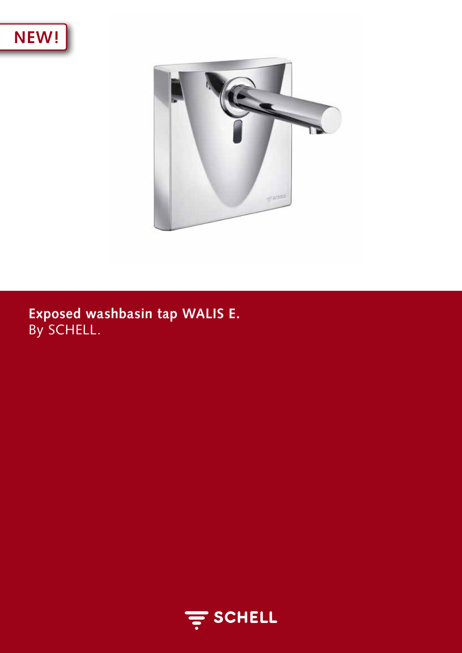



# Exposed washbasin tap WALIS E.<br>By SCHELL.

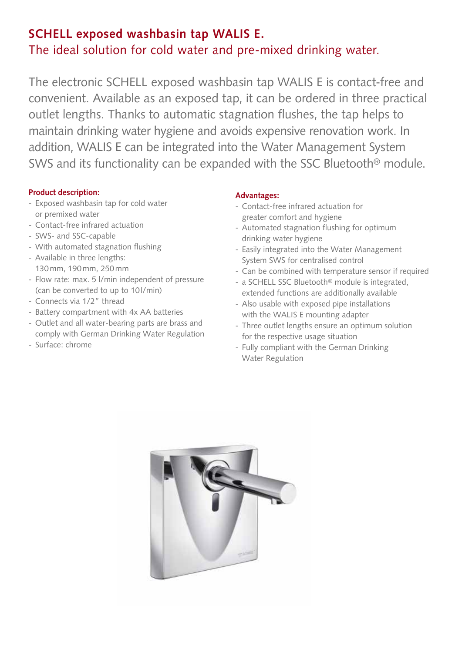# **SCHELL exposed washbasin tap WALIS E.** The ideal solution for cold water and pre-mixed drinking water.

The electronic SCHELL exposed washbasin tap WALIS E is contact-free and convenient. Available as an exposed tap, it can be ordered in three practical outlet lengths. Thanks to automatic stagnation flushes, the tap helps to maintain drinking water hygiene and avoids expensive renovation work. In addition, WALIS E can be integrated into the Water Management System SWS and its functionality can be expanded with the SSC Bluetooth® module.

## **Product description:**

- Exposed washbasin tap for cold water or premixed water
- Contact-free infrared actuation
- SWS- and SSC-capable
- With automated stagnation flushing
- Available in three lengths: 130mm, 190mm, 250mm
- Flow rate: max. 5 l/min independent of pressure (can be converted to up to 10l/min)
- Connects via 1/2" thread
- Battery compartment with 4x AA batteries
- Outlet and all water-bearing parts are brass and comply with German Drinking Water Regulation
- Surface: chrome

## **Advantages:**

- Contact-free infrared actuation for greater comfort and hygiene
- Automated stagnation flushing for optimum drinking water hygiene
- Easily integrated into the Water Management System SWS for centralised control
- Can be combined with temperature sensor if required
- a SCHELL SSC Bluetooth® module is integrated, extended functions are additionally available
- Also usable with exposed pipe installations with the WALIS E mounting adapter
- Three outlet lengths ensure an optimum solution for the respective usage situation
- Fully compliant with the German Drinking Water Regulation

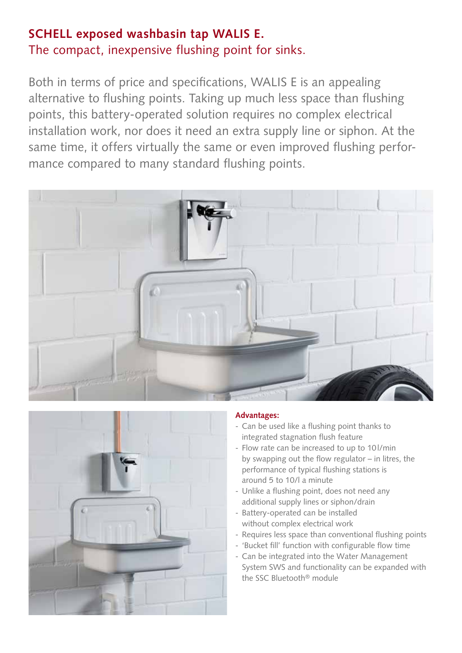# **SCHELL exposed washbasin tap WALIS E.** The compact, inexpensive flushing point for sinks.

Both in terms of price and specifications, WALIS E is an appealing alternative to flushing points. Taking up much less space than flushing points, this battery-operated solution requires no complex electrical installation work, nor does it need an extra supply line or siphon. At the same time, it offers virtually the same or even improved flushing performance compared to many standard flushing points.





### **Advantages:**

- Can be used like a flushing point thanks to integrated stagnation flush feature
- Flow rate can be increased to up to 10l/min by swapping out the flow regulator – in litres, the performance of typical flushing stations is around 5 to 10/l a minute
- Unlike a flushing point, does not need any additional supply lines or siphon/drain
- Battery-operated can be installed without complex electrical work
- Requires less space than conventional flushing points
- 'Bucket fill' function with configurable flow time
- Can be integrated into the Water Management System SWS and functionality can be expanded with the SSC Bluetooth® module